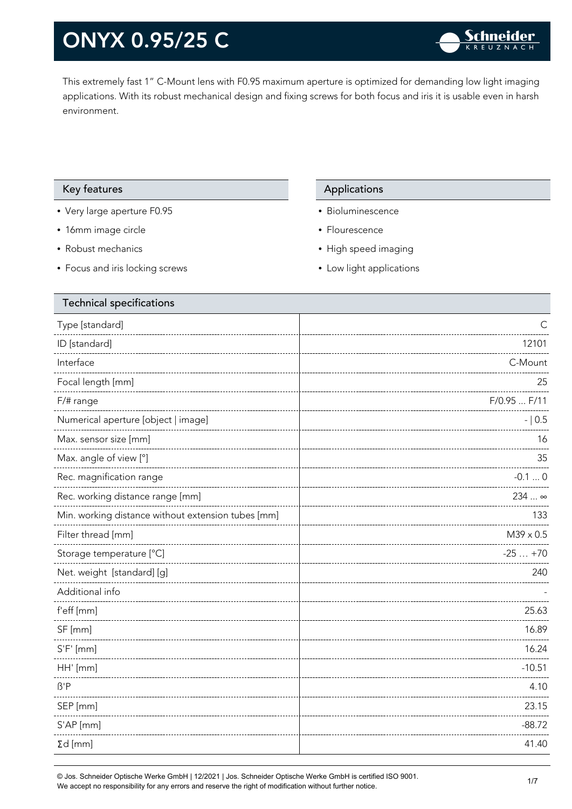This extremely fast 1" C-Mount lens with F0.95 maximum aperture is optimized for demanding low light imaging applications. With its robust mechanical design and fixing screws for both focus and iris it is usable even in harsh environment.

#### Key features **Applications** Applications

- Very large aperture F0.95
- 16mm image circle
- Robust mechanics
- Focus and iris locking screws

- Bioluminescence
- Flourescence
- High speed imaging
- Low light applications

| C            |
|--------------|
| 12101        |
| C-Mount      |
| 25           |
| F/0.95  F/11 |
| $-10.5$      |
| 16           |
| 35           |
| $-0.10$      |
| 234  ∞       |
| 133          |
| M39 x 0.5    |
| $-25+70$     |
| 240          |
|              |
| 25.63        |
| 16.89        |
| 16.24        |
| $-10.51$     |
| 4.10         |
| 23.15        |
| $-88.72$     |
| 41.40        |
|              |

© Jos. Schneider Optische Werke GmbH | 12/2021 | Jos. Schneider Optische Werke GmbH is certified ISO 9001. We accept no responsibility for any errors and reserve the right of modification without further notice.<br>We accept no responsibility for any errors and reserve the right of modification without further notice.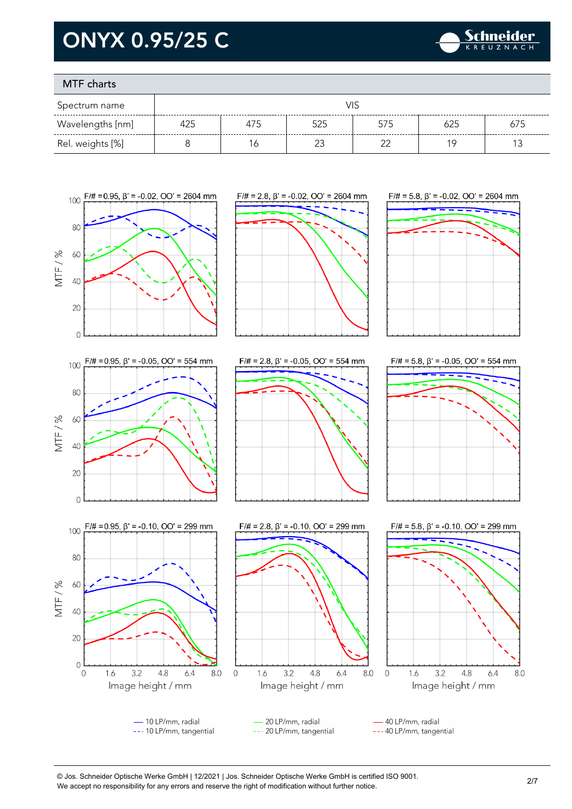

### MTF charts

| Spectrum name    |     |     |        |     |     |     |
|------------------|-----|-----|--------|-----|-----|-----|
| Wavelengths [nm] | 425 | 475 | 525    | 575 | 625 | 675 |
| Rel. weights [%] |     |     | $\sim$ | ົ   | 1 C |     |



<sup>©</sup> Jos. Schneider Optische Werke GmbH | 12/2021 | Jos. Schneider Optische Werke GmbH is certified ISO 9001. We accept no responsibility for any errors and reserve the right of modification without further notice.<br>We accept no responsibility for any errors and reserve the right of modification without further notice.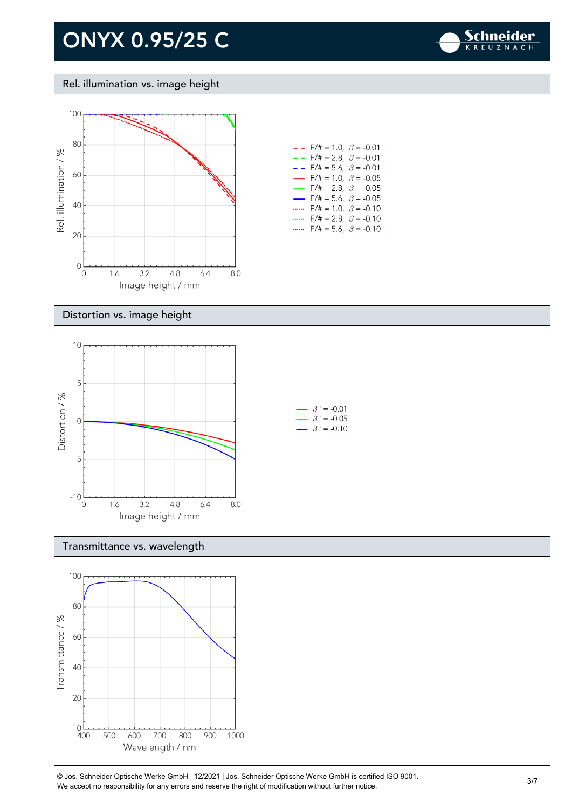

#### Rel. illumination vs. image height



| - -                      | F/# = 1.0, $\beta$ = -0.01             |  |
|--------------------------|----------------------------------------|--|
| - -                      | $F/\ddot{}=2.8,~\beta = -0.01$         |  |
| - -                      | $F/\ddot{=} = 5.6, \ \beta = -0.01$    |  |
| $\overline{\phantom{0}}$ | $F/\ddot{=} = 1.0, \ \beta = -0.05$    |  |
| $\overline{\phantom{0}}$ | $F/\ddot{\pi} = 2.8, \ \beta = -0.05$  |  |
| $\overline{\phantom{0}}$ | $F/\ddot{\pi} = 5.6$ , $\beta = -0.05$ |  |
|                          | $F/\ddot{=} = 1.0, \ \beta = -0.10$    |  |
| .                        | $F/\ddot{\pi} = 2.8, \ \beta = -0.10$  |  |
|                          | $F/\ddot{=} = 5.6, \ \beta = -0.10$    |  |

#### Distortion vs. image height



#### Transmittance vs. wavelength



© Jos. Schneider Optische Werke GmbH | 12/2021 | Jos. Schneider Optische Werke GmbH is certified ISO 9001. We accept no responsibility for any errors and reserve the right of modification without further notice.<br>We accept no responsibility for any errors and reserve the right of modification without further notice.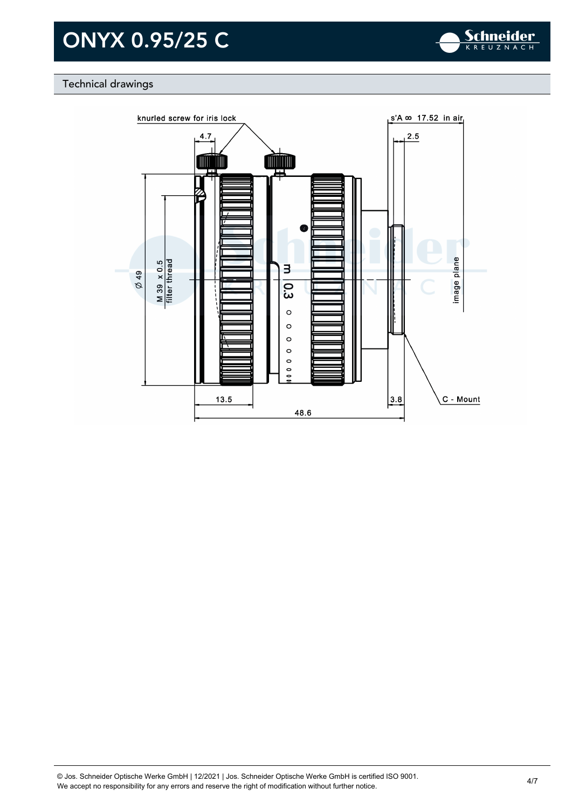

### Technical drawings

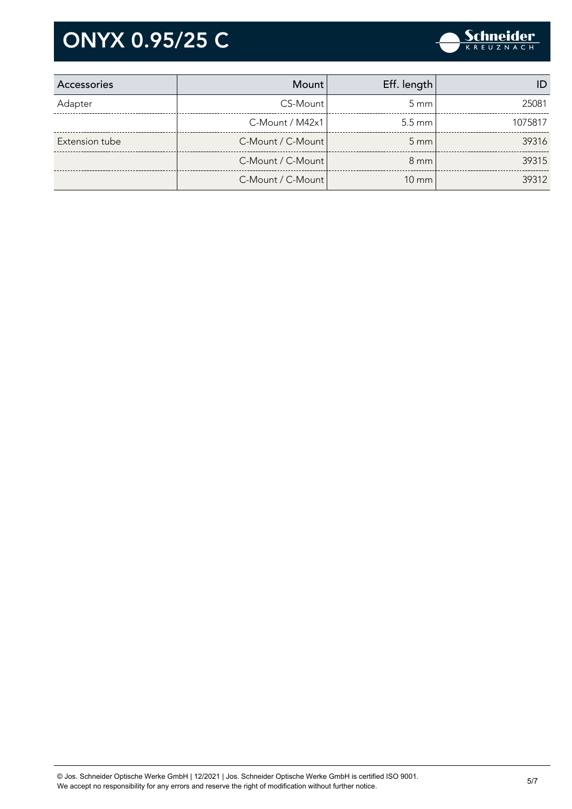

| Accessories    | Mount             | Eff. length        |         |
|----------------|-------------------|--------------------|---------|
| Adapter        | CS-Mount          | $5 \text{ mm}$     | 25081   |
|                | C-Mount / M42x1   | $5.5 \text{ mm}$   | 1075817 |
| Extension tube | C-Mount / C-Mount | $5 \, \mathrm{mm}$ | 39316   |
|                | C-Mount / C-Mount | $8 \text{ mm}$     | 39315   |
|                | C-Mount / C-Mount | $10 \text{ mm}$    | 39312   |